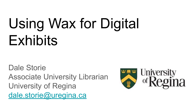# Using Wax for Digital **Exhibits**

Dale Storie Associate University Librarian University of Regina [dale.storie@uregina.ca](mailto:dale.storie@uregina.ca)

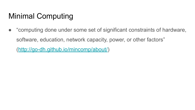# Minimal Computing

● "computing done under some set of significant constraints of hardware, software, education, network capacity, power, or other factors" [\(http://go-dh.github.io/mincomp/about/\)](http://go-dh.github.io/mincomp/about/)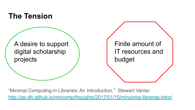

"Minimal Computing in Libraries: An Introduction." Stewart Vanier. <http://go-dh.github.io/mincomp/thoughts/2017/01/15/mincomp-libraries-intro/>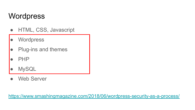## **Wordpress**

- HTML, CSS, Javascript
- Wordpress
- Plug-ins and themes
- PHP
- **MySQL**
- **Web Server**

<https://www.smashingmagazine.com/2018/06/wordpress-security-as-a-process/>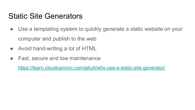## Static Site Generators

- Use a templating system to quickly generate a static website on your computer and publish to the web
- Avoid hand-writing a lot of HTML
- Fast, secure and low maintenance

<https://learn.cloudcannon.com/jekyll/why-use-a-static-site-generator/>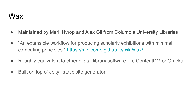#### Wax

- Maintained by Marii Nyröp and Alex Gil from Columbia University Libraries
- "An extensible workflow for producing scholarly exhibitions with minimal computing principles."<https://minicomp.github.io/wiki/wax/>
- Roughly equivalent to other digital library software like ContentDM or Omeka
- Built on top of Jekyll static site generator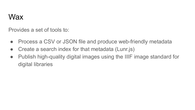## **Wax**

Provides a set of tools to:

- Process a CSV or JSON file and produce web-friendly metadata
- Create a search index for that metadata (Lunr.js)
- Publish high-quality digital images using the IIIF image standard for digital libraries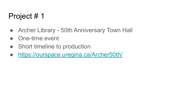# Project # 1

- Archer Library 50th Anniversary Town Hall
- One-time event
- Short timeline to production
- <https://ourspace.uregina.ca/Archer50th/>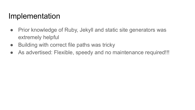## Implementation

- Prior knowledge of Ruby, Jekyll and static site generators was extremely helpful
- Building with correct file paths was tricky
- As advertised: Flexible, speedy and no maintenance required!!!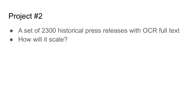## Project #2

- A set of 2300 historical press releases with OCR full text
- How will it scale?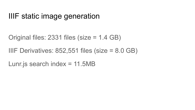## IIIF static image generation

Original files: 2331 files (size = 1.4 GB)

IIIF Derivatives:  $852,551$  files (size =  $8.0$  GB)

Lunr.js search index  $= 11.5MB$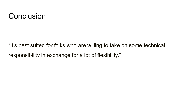#### **Conclusion**

"It's best suited for folks who are willing to take on some technical responsibility in exchange for a lot of flexibility."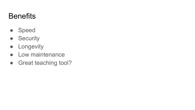# **Benefits**

- Speed
- Security
- **•** Longevity
- Low maintenance
- Great teaching tool?